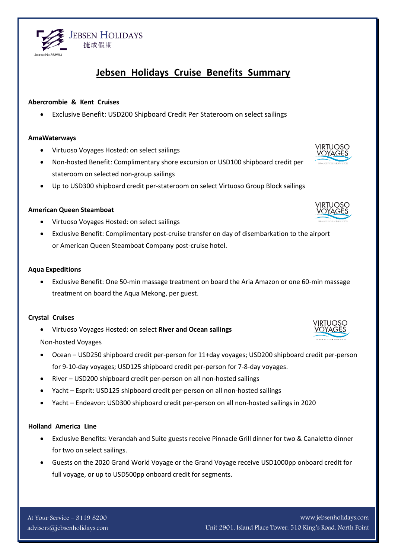#### www.jebsenholidays.com Unit 2901, Island Place Tower, 510 King's Road, North Point

#### **Holland America Line**

- Exclusive Benefits: Verandah and Suite guests receive Pinnacle Grill dinner for two & Canaletto dinner for two on select sailings.
- Guests on the 2020 Grand World Voyage or the Grand Voyage receive USD1000pp onboard credit for full voyage, or up to USD500pp onboard credit for segments.

River – USD200 shipboard credit per-person on all non-hosted sailings

- Yacht Esprit: USD125 shipboard credit per-person on all non-hosted sailings
- Yacht Endeavor: USD300 shipboard credit per-person on all non-hosted sailings in 2020

**Crystal Cruises**

**Aqua Expeditions**

Virtuoso Voyages Hosted: on select **River and Ocean sailings**

treatment on board the Aqua Mekong, per guest.

Non-hosted Voyages

 Ocean – USD250 shipboard credit per-person for 11+day voyages; USD200 shipboard credit per-person for 9-10-day voyages; USD125 shipboard credit per-person for 7-8-day voyages.

Exclusive Benefit: One 50-min massage treatment on board the Aria Amazon or one 60-min massage

- - or American Queen Steamboat Company post-cruise hotel.
- 
- 

# **American Queen Steamboat**

**Abercrombie & Kent Cruises**

- Virtuoso Voyages Hosted: on select sailings
- Exclusive Benefit: Complimentary post-cruise transfer on day of disembarkation to the airport

Exclusive Benefit: USD200 Shipboard Credit Per Stateroom on select sailings

# **AmaWaterways**

Virtuoso Voyages Hosted: on select sailings

**JEBSEN HOLIDAYS** 捷成假期

- Non-hosted Benefit: Complimentary shore excursion or USD100 shipboard credit per stateroom on selected non-group sailings
- Up to USD300 shipboard credit per-stateroom on select Virtuoso Group Block sailings







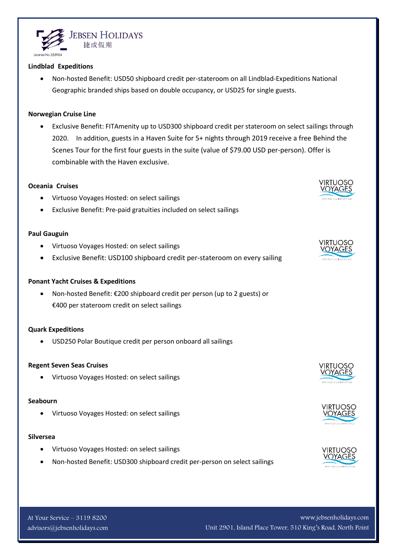

www.jebsenholidays.com Unit 2901, Island Place Tower, 510 King's Road, North Point

#### **Lindblad Expeditions**

 Non-hosted Benefit: USD50 shipboard credit per-stateroom on all Lindblad-Expeditions National Geographic branded ships based on double occupancy, or USD25 for single guests.

### **Norwegian Cruise Line**

 Exclusive Benefit: FITAmenity up to USD300 shipboard credit per stateroom on select sailings through 2020. In addition, guests in a Haven Suite for 5+ nights through 2019 receive a free Behind the Scenes Tour for the first four guests in the suite (value of \$79.00 USD per-person). Offer is combinable with the Haven exclusive.

### **Oceania Cruises**

- Virtuoso Voyages Hosted: on select sailings
- Exclusive Benefit: Pre-paid gratuities included on select sailings

# **Paul Gauguin**

- Virtuoso Voyages Hosted: on select sailings
- Exclusive Benefit: USD100 shipboard credit per-stateroom on every sailing

#### **Ponant Yacht Cruises & Expeditions**

 Non-hosted Benefit: €200 shipboard credit per person (up to 2 guests) or €400 per stateroom credit on select sailings

# **Quark Expeditions**

USD250 Polar Boutique credit per person onboard all sailings

# **Regent Seven Seas Cruises**

Virtuoso Voyages Hosted: on select sailings

# **Seabourn**

Virtuoso Voyages Hosted: on select sailings

# **Silversea**

- Virtuoso Voyages Hosted: on select sailings
- Non-hosted Benefit: USD300 shipboard credit per-person on select sailings